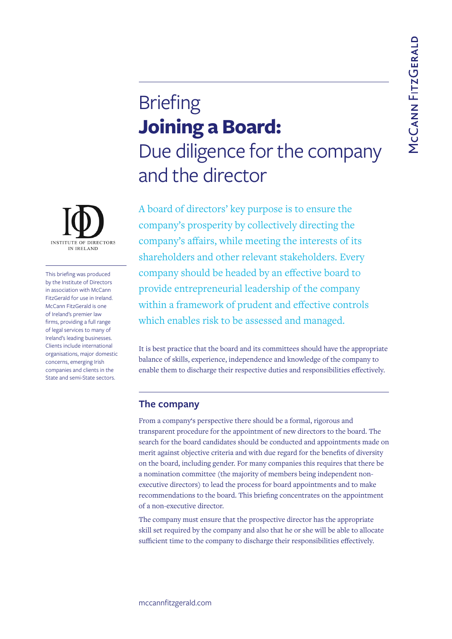## **Briefing Joining a Board:**  Due diligence for the company and the director

A board of directors' key purpose is to ensure the company's prosperity by collectively directing the company's affairs, while meeting the interests of its shareholders and other relevant stakeholders. Every company should be headed by an effective board to provide entrepreneurial leadership of the company within a framework of prudent and effective controls which enables risk to be assessed and managed.

It is best practice that the board and its committees should have the appropriate balance of skills, experience, independence and knowledge of the company to enable them to discharge their respective duties and responsibilities effectively.

## **The company**

From a company's perspective there should be a formal, rigorous and transparent procedure for the appointment of new directors to the board. The search for the board candidates should be conducted and appointments made on merit against objective criteria and with due regard for the benefits of diversity on the board, including gender. For many companies this requires that there be a nomination committee (the majority of members being independent nonexecutive directors) to lead the process for board appointments and to make recommendations to the board. This briefing concentrates on the appointment of a non-executive director.

The company must ensure that the prospective director has the appropriate skill set required by the company and also that he or she will be able to allocate sufficient time to the company to discharge their responsibilities effectively.



This briefing was produced by the Institute of Directors in association with McCann FitzGerald for use in Ireland. McCann FitzGerald is one of Ireland's premier law firms, providing a full range of legal services to many of Ireland's leading businesses. Clients include international organisations, major domestic concerns, emerging Irish companies and clients in the State and semi-State sectors.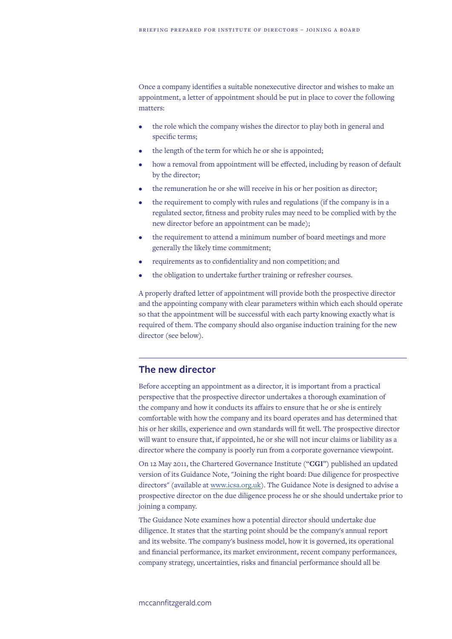Once a company identifies a suitable nonexecutive director and wishes to make an appointment, a letter of appointment should be put in place to cover the following matters:

- the role which the company wishes the director to play both in general and specific terms;
- the length of the term for which he or she is appointed;
- how a removal from appointment will be effected, including by reason of default by the director;
- the remuneration he or she will receive in his or her position as director;
- the requirement to comply with rules and regulations (if the company is in a regulated sector, fitness and probity rules may need to be complied with by the new director before an appointment can be made);
- the requirement to attend a minimum number of board meetings and more generally the likely time commitment;
- requirements as to confidentiality and non competition; and
- the obligation to undertake further training or refresher courses.

A properly drafted letter of appointment will provide both the prospective director and the appointing company with clear parameters within which each should operate so that the appointment will be successful with each party knowing exactly what is required of them. The company should also organise induction training for the new director (see below).

## **The new director**

Before accepting an appointment as a director, it is important from a practical perspective that the prospective director undertakes a thorough examination of the company and how it conducts its affairs to ensure that he or she is entirely comfortable with how the company and its board operates and has determined that his or her skills, experience and own standards will fit well. The prospective director will want to ensure that, if appointed, he or she will not incur claims or liability as a director where the company is poorly run from a corporate governance viewpoint.

On 12 May 2011, the Chartered Governance Institute ("**CGI**") published an updated version of its Guidance Note, "Joining the right board: Due diligence for prospective directors" (available at [www.icsa.org.uk\)](https://www.icsa.org.uk/ireland). The Guidance Note is designed to advise a prospective director on the due diligence process he or she should undertake prior to joining a company.

The Guidance Note examines how a potential director should undertake due diligence. It states that the starting point should be the company's annual report and its website. The company's business model, how it is governed, its operational and financial performance, its market environment, recent company performances, company strategy, uncertainties, risks and financial performance should all be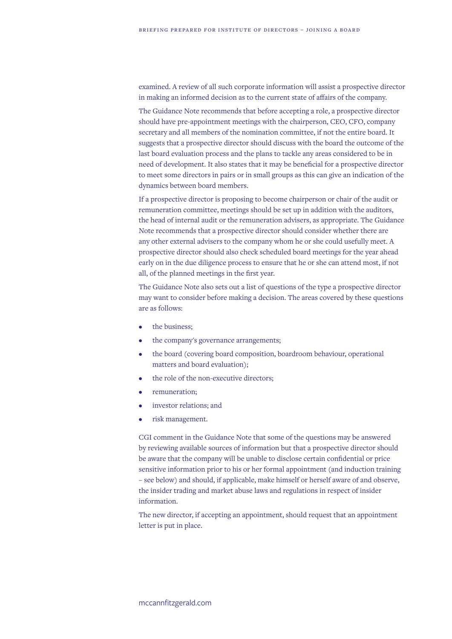examined. A review of all such corporate information will assist a prospective director in making an informed decision as to the current state of affairs of the company.

The Guidance Note recommends that before accepting a role, a prospective director should have pre-appointment meetings with the chairperson, CEO, CFO, company secretary and all members of the nomination committee, if not the entire board. It suggests that a prospective director should discuss with the board the outcome of the last board evaluation process and the plans to tackle any areas considered to be in need of development. It also states that it may be beneficial for a prospective director to meet some directors in pairs or in small groups as this can give an indication of the dynamics between board members.

If a prospective director is proposing to become chairperson or chair of the audit or remuneration committee, meetings should be set up in addition with the auditors, the head of internal audit or the remuneration advisers, as appropriate. The Guidance Note recommends that a prospective director should consider whether there are any other external advisers to the company whom he or she could usefully meet. A prospective director should also check scheduled board meetings for the year ahead early on in the due diligence process to ensure that he or she can attend most, if not all, of the planned meetings in the first year.

The Guidance Note also sets out a list of questions of the type a prospective director may want to consider before making a decision. The areas covered by these questions are as follows:

- the business:
- the company's governance arrangements;
- the board (covering board composition, boardroom behaviour, operational matters and board evaluation);
- the role of the non-executive directors;
- remuneration;
- investor relations; and
- risk management.

CGI comment in the Guidance Note that some of the questions may be answered by reviewing available sources of information but that a prospective director should be aware that the company will be unable to disclose certain confidential or price sensitive information prior to his or her formal appointment (and induction training – see below) and should, if applicable, make himself or herself aware of and observe, the insider trading and market abuse laws and regulations in respect of insider information.

The new director, if accepting an appointment, should request that an appointment letter is put in place.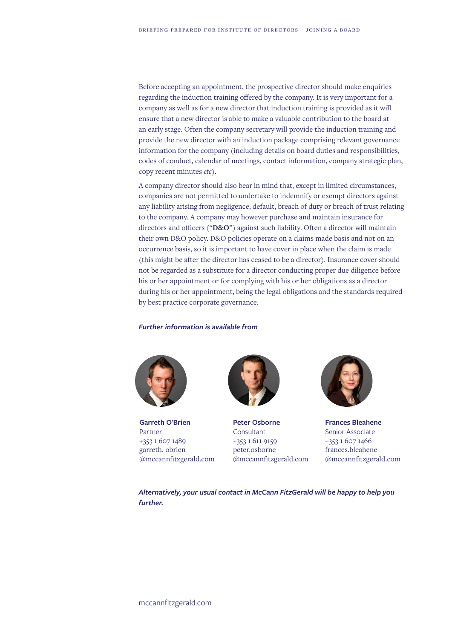Before accepting an appointment, the prospective director should make enquiries regarding the induction training offered by the company. It is very important for a company as well as for a new director that induction training is provided as it will ensure that a new director is able to make a valuable contribution to the board at an early stage. Often the company secretary will provide the induction training and provide the new director with an induction package comprising relevant governance information for the company (including details on board duties and responsibilities, codes of conduct, calendar of meetings, contact information, company strategic plan, copy recent minutes *etc*).

A company director should also bear in mind that, except in limited circumstances, companies are not permitted to undertake to indemnify or exempt directors against any liability arising from negligence, default, breach of duty or breach of trust relating to the company. A company may however purchase and maintain insurance for directors and officers ("**D&O**") against such liability. Often a director will maintain their own D&O policy. D&O policies operate on a claims made basis and not on an occurrence basis, so it is important to have cover in place when the claim is made (this might be after the director has ceased to be a director). Insurance cover should not be regarded as a substitute for a director conducting proper due diligence before his or her appointment or for complying with his or her obligations as a director during his or her appointment, being the legal obligations and the standards required by best practice corporate governance.

## *Further information is available from*



**Garreth O'Brien** Partner +353 1 607 1489 garreth. obrien @mccannfitzgerald.com



**Peter Osborne Consultant** +353 1 611 9159 peter.osborne @mccannfitzgerald.com



**Frances Bleahene** Senior Associate +353 1 607 1466 frances.bleahene @mccannfitzgerald.com

*Alternatively, your usual contact in McCann FitzGerald will be happy to help you further.*